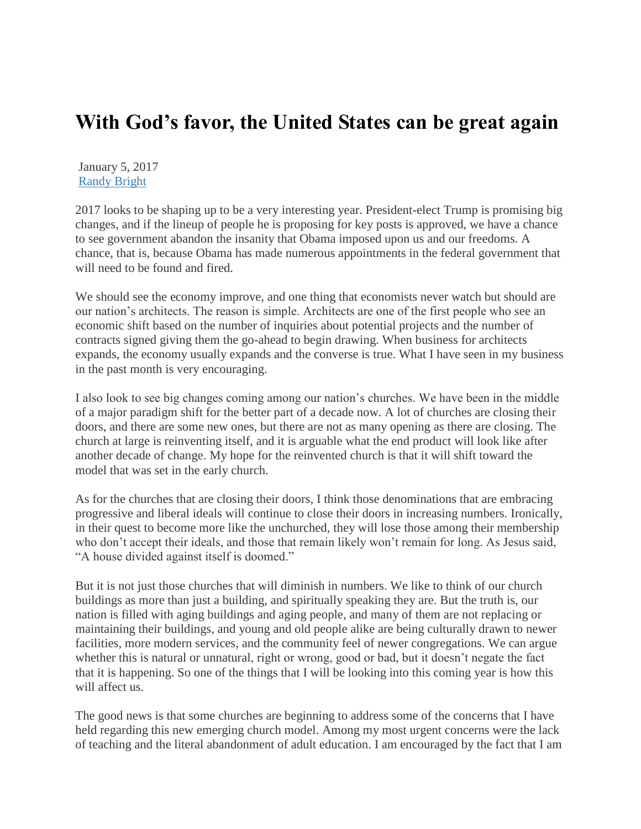## **With God's favor, the United States can be great again**

January 5, 2017 [Randy Bright](http://tulsabeacon.com/author/randy-bright/)

2017 looks to be shaping up to be a very interesting year. President-elect Trump is promising big changes, and if the lineup of people he is proposing for key posts is approved, we have a chance to see government abandon the insanity that Obama imposed upon us and our freedoms. A chance, that is, because Obama has made numerous appointments in the federal government that will need to be found and fired.

We should see the economy improve, and one thing that economists never watch but should are our nation's architects. The reason is simple. Architects are one of the first people who see an economic shift based on the number of inquiries about potential projects and the number of contracts signed giving them the go-ahead to begin drawing. When business for architects expands, the economy usually expands and the converse is true. What I have seen in my business in the past month is very encouraging.

I also look to see big changes coming among our nation's churches. We have been in the middle of a major paradigm shift for the better part of a decade now. A lot of churches are closing their doors, and there are some new ones, but there are not as many opening as there are closing. The church at large is reinventing itself, and it is arguable what the end product will look like after another decade of change. My hope for the reinvented church is that it will shift toward the model that was set in the early church.

As for the churches that are closing their doors, I think those denominations that are embracing progressive and liberal ideals will continue to close their doors in increasing numbers. Ironically, in their quest to become more like the unchurched, they will lose those among their membership who don't accept their ideals, and those that remain likely won't remain for long. As Jesus said, "A house divided against itself is doomed."

But it is not just those churches that will diminish in numbers. We like to think of our church buildings as more than just a building, and spiritually speaking they are. But the truth is, our nation is filled with aging buildings and aging people, and many of them are not replacing or maintaining their buildings, and young and old people alike are being culturally drawn to newer facilities, more modern services, and the community feel of newer congregations. We can argue whether this is natural or unnatural, right or wrong, good or bad, but it doesn't negate the fact that it is happening. So one of the things that I will be looking into this coming year is how this will affect us.

The good news is that some churches are beginning to address some of the concerns that I have held regarding this new emerging church model. Among my most urgent concerns were the lack of teaching and the literal abandonment of adult education. I am encouraged by the fact that I am